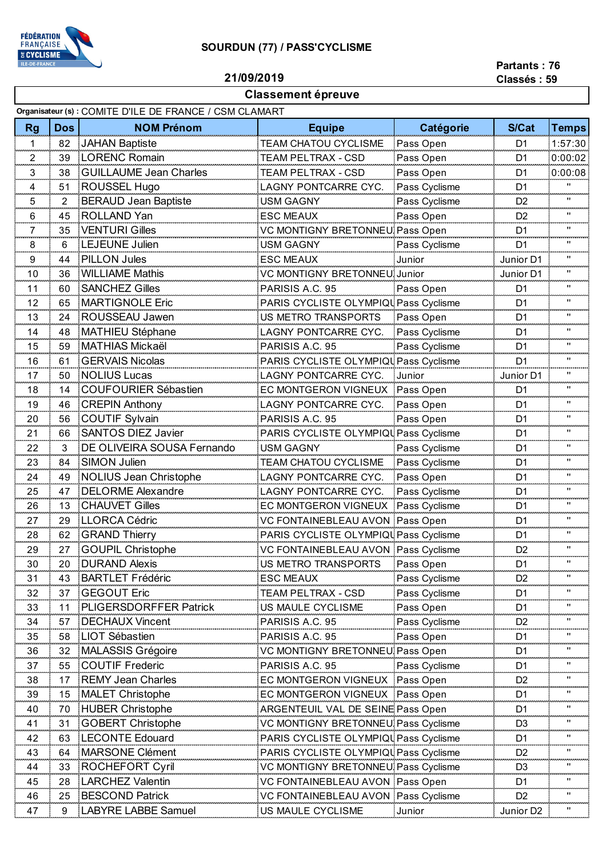

## **SOURDUN (77) / PASS'CYCLISME**

**21/09/2019**

## **Partants : 76**

## **Classement épreuve**

|  |  | .           |  |  |
|--|--|-------------|--|--|
|  |  | Classés: 59 |  |  |

|                     | Organisateur (s) : COMITE D'ILE DE FRANCE / CSM CLAMART |                               |                                       |               |                       |                    |  |
|---------------------|---------------------------------------------------------|-------------------------------|---------------------------------------|---------------|-----------------------|--------------------|--|
| <b>Rg</b>           | <b>Dos</b>                                              | <b>NOM Prénom</b>             | <b>Equipe</b>                         | Catégorie     | S/Cat                 | <b>Temps</b>       |  |
| 1                   | 82                                                      | <b>JAHAN Baptiste</b>         | <b>TEAM CHATOU CYCLISME</b>           | Pass Open     | D <sub>1</sub>        | 1:57:30            |  |
| 2<br>ومحدده         | 39                                                      | <b>LORENC Romain</b>          | TEAM PELTRAX - CSD                    | Pass Open     | D <sub>1</sub>        | 0:00:02            |  |
| 3                   | 38                                                      | <b>GUILLAUME Jean Charles</b> | TEAM PELTRAX - CSD                    | Pass Open     | D <sub>1</sub>        | 0:00:08            |  |
| 4                   | 51                                                      | ROUSSEL Hugo                  | LAGNY PONTCARRE CYC.                  | Pass Cyclisme | D <sub>1</sub>        |                    |  |
| 5                   | 2                                                       | <b>BERAUD Jean Baptiste</b>   | USM GAGNY                             | Pass Cyclisme | D <sub>2</sub>        | $\blacksquare$     |  |
| 6                   | 45                                                      | <b>ROLLAND Yan</b>            | <b>ESC MEAUX</b>                      | Pass Open     | D <sub>2</sub>        | "                  |  |
| 7<br>anan a         | 35                                                      | <b>VENTURI Gilles</b>         | VC MONTIGNY BRETONNEU Pass Open       |               | D <sub>1</sub>        | π.                 |  |
| 8                   | 6                                                       | <b>LEJEUNE Julien</b>         | USM GAGNY                             | Pass Cyclisme | D <sub>1</sub>        | "                  |  |
| 9<br>uu u           | 44                                                      | <b>PILLON Jules</b>           | <b>ESC MEAUX</b>                      | Junior        | Junior D1             | "<br>بعدد          |  |
| 10                  | 36                                                      | <b>WILLIAME Mathis</b>        | VC MONTIGNY BRETONNEU Junior          |               | Junior D1             | $\blacksquare$     |  |
| 11                  | 60                                                      | <b>SANCHEZ Gilles</b>         | PARISIS A.C. 95                       | Pass Open     | D <sub>1</sub>        | "                  |  |
| 12                  | 65                                                      | <b>MARTIGNOLE Eric</b>        | PARIS CYCLISTE OLYMPIQUPass Cyclisme  |               | D <sub>1</sub>        | "                  |  |
| 13                  | 24                                                      | ROUSSEAU Jawen                | US METRO TRANSPORTS                   | Pass Open     | D <sub>1</sub>        | "                  |  |
| 14                  | 48                                                      | <b>MATHIEU Stéphane</b>       | LAGNY PONTCARRE CYC.                  | Pass Cyclisme | D <sub>1</sub>        | "                  |  |
| 15                  | 59                                                      | <b>MATHIAS Mickaël</b>        | PARISIS A.C. 95                       | Pass Cyclisme | D <sub>1</sub>        | $\blacksquare$     |  |
| <b>COOPER</b><br>16 | 61                                                      | <b>GERVAIS Nicolas</b>        | PARIS CYCLISTE OLYMPIQU Pass Cyclisme |               | D <sub>1</sub>        | mmm<br>"           |  |
| 17                  | 50                                                      | <b>NOLIUS Lucas</b>           | LAGNY PONTCARRE CYC.                  | Junior        | Junior D1             | "                  |  |
| 18                  | 14                                                      | <b>COUFOURIER Sébastien</b>   | EC MONTGERON VIGNEUX                  | Pass Open     | D1                    | ووروبه<br>"        |  |
| 19                  | 46                                                      | <b>CREPIN Anthony</b>         | LAGNY PONTCARRE CYC.                  | Pass Open     | D <sub>1</sub>        | "                  |  |
| 20                  | 56                                                      | <b>COUTIF Sylvain</b>         | PARISIS A.C. 95                       | Pass Open     | D <sub>1</sub>        | "                  |  |
| 21                  | 66                                                      | <b>SANTOS DIEZ Javier</b>     | PARIS CYCLISTE OLYMPIQU Pass Cyclisme |               | D <sub>1</sub>        | π.                 |  |
| 22                  | 3                                                       | DE OLIVEIRA SOUSA Fernando    | <b>USM GAGNY</b>                      | Pass Cyclisme | D <sub>1</sub>        | "                  |  |
| 23                  | 84                                                      | <b>SIMON Julien</b>           | TEAM CHATOU CYCLISME                  | Pass Cyclisme | D <sub>1</sub>        | π.                 |  |
| 24                  | 49                                                      | <b>NOLIUS Jean Christophe</b> | LAGNY PONTCARRE CYC.                  | Pass Open     | D <sub>1</sub>        | "                  |  |
| 25                  | 47                                                      | <b>DELORME Alexandre</b>      | LAGNY PONTCARRE CYC.                  | Pass Cyclisme | D <sub>1</sub>        | "                  |  |
| 26                  | 13                                                      | <b>CHAUVET Gilles</b>         | EC MONTGERON VIGNEUX                  | Pass Cyclisme | D <sub>1</sub>        | $\blacksquare$     |  |
| 27                  | 29                                                      | <b>LLORCA Cédric</b>          | VC FONTAINEBLEAU AVON Pass Open       |               | D <sub>1</sub>        | π.                 |  |
| 28                  | 62                                                      | <b>GRAND Thierry</b>          | PARIS CYCLISTE OLYMPIQU Pass Cyclisme |               | D <sub>1</sub>        | $\mathbf{H}$       |  |
| 29                  | 27                                                      | <b>GOUPIL Christophe</b>      | VC FONTAINEBLEAU AVON Pass Cyclisme   |               | D <sub>2</sub>        |                    |  |
| 30                  | 20                                                      | <b>DURAND Alexis</b>          | US METRO TRANSPORTS                   | Pass Open     | D <sub>1</sub>        | "                  |  |
| 31                  | 43                                                      | <b>BARTLET Frédéric</b>       | ESC MEAUX                             | Pass Cyclisme | D <sub>2</sub>        | "                  |  |
| 32                  | 37                                                      | <b>GEGOUT Eric</b>            | TEAM PELTRAX - CSD                    | Pass Cyclisme | D1                    | "                  |  |
| 33                  | 11                                                      | PLIGERSDORFFER Patrick        | US MAULE CYCLISME                     | Pass Open     | D1                    | "                  |  |
| 34                  | 57                                                      | <b>DECHAUX Vincent</b>        | PARISIS A.C. 95                       | Pass Cyclisme | D <sub>2</sub>        | π.                 |  |
| 35                  | 58                                                      | <b>LIOT Sébastien</b>         | PARISIS A.C. 95                       | Pass Open     | D <sub>1</sub>        | "                  |  |
| 36                  | 32                                                      | MALASSIS Grégoire             | VC MONTIGNY BRETONNEU Pass Open       |               | D <sub>1</sub>        | "                  |  |
| 37                  | 55                                                      | <b>COUTIF Frederic</b>        | PARISIS A.C. 95                       | Pass Cyclisme | D1                    |                    |  |
| 38                  | 17                                                      | <b>REMY Jean Charles</b>      | EC MONTGERON VIGNEUX Pass Open        |               | D <sub>2</sub>        | "                  |  |
| 39                  | 15                                                      | <b>MALET Christophe</b>       | EC MONTGERON VIGNEUX Pass Open        |               | D <sub>1</sub>        | "                  |  |
| 40                  | 70                                                      | <b>HUBER Christophe</b>       | ARGENTEUIL VAL DE SEINE Pass Open     |               | D <sub>1</sub>        | "                  |  |
| 41                  | 31                                                      | <b>GOBERT Christophe</b>      | VC MONTIGNY BRETONNEU Pass Cyclisme   |               | D <sub>3</sub>        | "                  |  |
| 42                  | 63                                                      | <b>LECONTE Edouard</b>        | PARIS CYCLISTE OLYMPIQU Pass Cyclisme |               | D1                    | "                  |  |
| 43                  | 64                                                      | <b>MARSONE Clément</b>        | PARIS CYCLISTE OLYMPIQU Pass Cyclisme |               | D <sub>2</sub>        | "                  |  |
| 44                  | 33                                                      | <b>ROCHEFORT Cyril</b>        | VC MONTIGNY BRETONNEU Pass Cyclisme   |               | D <sub>3</sub>        | "                  |  |
| 45                  | 28                                                      | <b>LARCHEZ Valentin</b>       | VC FONTAINEBLEAU AVON Pass Open       |               | D1                    |                    |  |
| 46                  | 25                                                      | <b>BESCOND Patrick</b>        | VC FONTAINEBLEAU AVON Pass Cyclisme   |               | D <sub>2</sub>        | $\pmb{\mathsf{H}}$ |  |
| 47                  | 9                                                       | <b>LABYRE LABBE Samuel</b>    | US MAULE CYCLISME                     | Junior        | Junior D <sub>2</sub> | "                  |  |